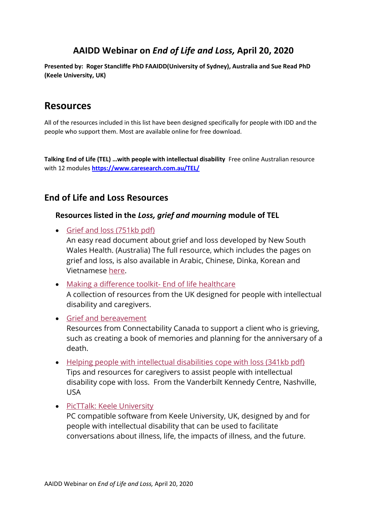# **AAIDD Webinar on** *End of Life and Loss,* **April 20, 2020**

**Presented by: Roger Stancliffe PhD FAAIDD(University of Sydney), Australia and Sue Read PhD (Keele University, UK)**

## **Resources**

All of the resources included in this list have been designed specifically for people with IDD and the people who support them. Most are available online for free download.

**Talking End of Life (TEL) …with people with intellectual disability** Free online Australian resource with 12 modules **<https://www.caresearch.com.au/TEL/>**

### **End of Life and Loss Resources**

#### **Resources listed in the** *Loss, grief and mourning* **module of TEL**

• [Grief and loss \(751kb pdf\)](https://www.health.nsw.gov.au/disability/Publications/being-a-healthy-woman-83-87.pdf)

An easy read document about grief and loss developed by New South Wales Health. (Australia) The full resource, which includes the pages on grief and loss, is also available in Arabic, Chinese, Dinka, Korean and Vietnamese [here.](https://www.health.nsw.gov.au/disability/Pages/being-a-healthy-woman.aspx)

- [Making a difference toolkit-](https://aldhc.keele.ac.uk/wttk/) End of life healthcare A collection of resources from the UK designed for people with intellectual disability and caregivers.
- [Grief and bereavement](https://connectability.ca/2015/03/09/grief-and-bereavement-2/) Resources from Connectability Canada to support a client who is grieving, such as creating a book of memories and planning for the anniversary of a death.
- [Helping people with intellectual disabilities cope with loss \(341kb pdf\)](https://vkc.mc.vanderbilt.edu/assets/files/tipsheets/copinglosstips.pdf) Tips and resources for caregivers to assist people with intellectual disability cope with loss. From the Vanderbilt Kennedy Centre, Nashville, USA
- [PicTTalk: Keele University](https://www.keele.ac.uk/nursingandmidwifery/research/toolkits/picttalk/) PC compatible software from Keele University, UK, designed by and for people with intellectual disability that can be used to facilitate conversations about illness, life, the impacts of illness, and the future.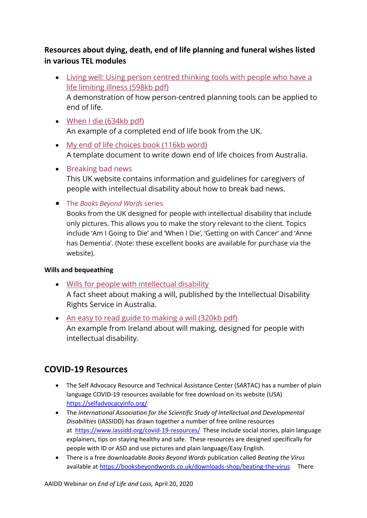### **Resources about dying, death, end of life planning and funeral wishes listed in various TEL modules**

- [Living well: Using person centred thinking tools with people who have a](http://www.helensandersonassociates.co.uk/wp-content/uploads/2015/02/livingwell-hull.pdf)  [life limiting illness \(598kb pdf\)](http://www.helensandersonassociates.co.uk/wp-content/uploads/2015/02/livingwell-hull.pdf) A demonstration of how person-centred planning tools can be applied to
- [When I die \(634kb pdf\)](https://www.pcpld.org/wp-content/uploads/when_i_die_2_0.pdf) An example of a completed end of life book from the UK.
- [My end of life choices book \(116kb word\)](https://www.caresearch.com.au/TEL/Portals/11/Captivate-Modules/Documents/My-End-of-Life-Book-Template.docx) A template document to write down end of life choices from Australia.
- [Breaking bad news](http://www.breakingbadnews.org/) This UK website contains information and guidelines for caregivers of people with intellectual disability about how to break bad news.
- The *[Books Beyond Words](https://booksbeyondwords.co.uk/bookshop)* series

Books from the UK designed for people with intellectual disability that include only pictures. This allows you to make the story relevant to the client. Topics include 'Am I Going to Die' and 'When I Die', 'Getting on with Cancer' and 'Anne has Dementia'. (Note: these excellent books are available for purchase via the website).

### **Wills and bequeathing**

end of life.

- [Wills for people with intellectual disability](http://www.idrs.org.au/publications/read-factsheet.php?factsheet=wills-for-people-with-intellectual-disability) A fact sheet about making a will, published by the Intellectual Disability Rights Service in Australia.
- [An easy to read guide to making a will \(320kb pdf\)](http://www.inclusionireland.ie/sites/default/files/attach/basic-page/996/makingawill-etr.pdf) An example from Ireland about will making, designed for people with intellectual disability.

# **COVID-19 Resources**

- The Self Advocacy Resource and Technical Assistance Center (SARTAC) has a number of plain language COVID-19 resources available for free download on its website (USA) <https://selfadvocacyinfo.org/>
- The *International Association for the Scientific Study of Intellectual and Developmental Disabilities* (IASSIDD) has drawn together a number of free online resources at [https://www.iassidd.org/covid-19-resources/](https://protect-au.mimecast.com/s/zLj1CJyBrGf1V7xVFyYj_L?domain=iassidd.org/) These include social stories, plain language explainers, tips on staying healthy and safe. These resources are designed specifically for people with ID or ASD and use pictures and plain language/Easy English.
- There is a free downloadable *Books Beyond Words* publication called *Beating the Virus* available at <https://booksbeyondwords.co.uk/downloads-shop/beating-the-virus>There